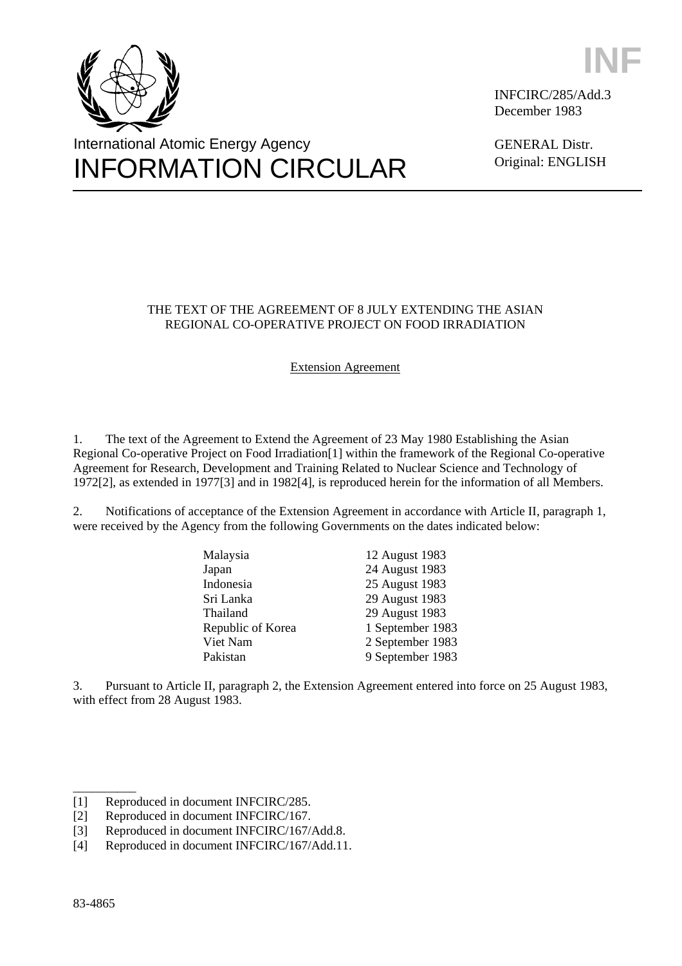



INFCIRC/285/Add.3 December 1983

GENERAL Distr. Original: ENGLISH

# THE TEXT OF THE AGREEMENT OF 8 JULY EXTENDING THE ASIAN REGIONAL CO-OPERATIVE PROJECT ON FOOD IRRADIATION

# Extension Agreement

1. The text of the Agreement to Extend the Agreement of 23 May 1980 Establishing the Asian Regional Co-operative Project on Food Irradiation[1] within the framework of the Regional Co-operative Agreement for Research, Development and Training Related to Nuclear Science and Technology of 1972[2], as extended in 1977[3] and in 1982[4], is reproduced herein for the information of all Members.

2. Notifications of acceptance of the Extension Agreement in accordance with Article II, paragraph 1, were received by the Agency from the following Governments on the dates indicated below:

| Malaysia          | 12 August 1983   |
|-------------------|------------------|
| Japan             | 24 August 1983   |
| Indonesia         | 25 August 1983   |
| Sri Lanka         | 29 August 1983   |
| Thailand          | 29 August 1983   |
| Republic of Korea | 1 September 1983 |
| Viet Nam          | 2 September 1983 |
| Pakistan          | 9 September 1983 |

3. Pursuant to Article II, paragraph 2, the Extension Agreement entered into force on 25 August 1983, with effect from 28 August 1983.

\_\_\_\_\_\_\_\_\_\_

<sup>[1]</sup> Reproduced in document INFCIRC/285.

<sup>[2]</sup> Reproduced in document INFCIRC/167.

<sup>[3]</sup> Reproduced in document INFCIRC/167/Add.8.

<sup>[4]</sup> Reproduced in document INFCIRC/167/Add.11.